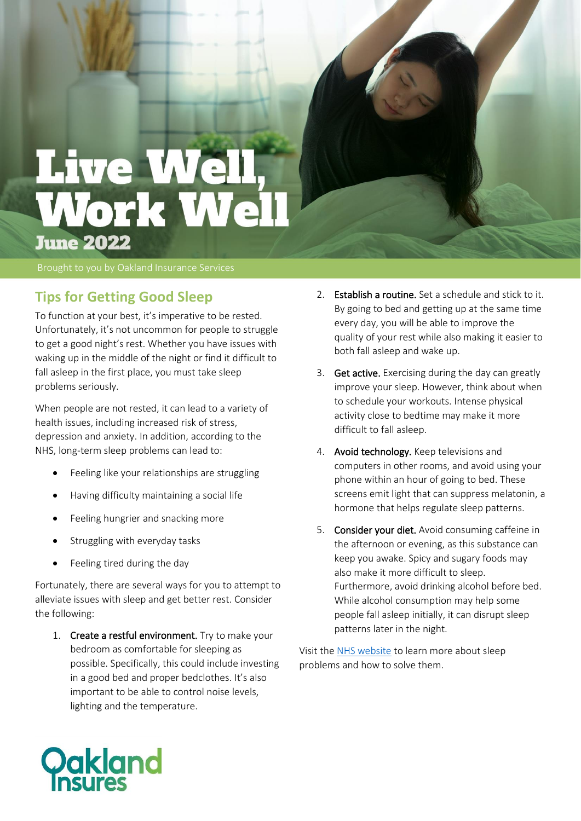

## **Tips for Getting Good Sleep**

To function at your best, it's imperative to be rested. Unfortunately, it's not uncommon for people to struggle to get a good night's rest. Whether you have issues with waking up in the middle of the night or find it difficult to fall asleep in the first place, you must take sleep problems seriously.

When people are not rested, it can lead to a variety of health issues, including increased risk of stress, depression and anxiety. In addition, according to the NHS, long-term sleep problems can lead to:

- Feeling like your relationships are struggling
- Having difficulty maintaining a social life
- Feeling hungrier and snacking more
- Struggling with everyday tasks
- Feeling tired during the day

Fortunately, there are several ways for you to attempt to alleviate issues with sleep and get better rest. Consider the following:

1. Create a restful environment. Try to make your bedroom as comfortable for sleeping as possible. Specifically, this could include investing in a good bed and proper bedclothes. It's also important to be able to control noise levels, lighting and the temperature.

- 2. Establish a routine. Set a schedule and stick to it. By going to bed and getting up at the same time every day, you will be able to improve the quality of your rest while also making it easier to both fall asleep and wake up.
- 3. Get active. Exercising during the day can greatly improve your sleep. However, think about when to schedule your workouts. Intense physical activity close to bedtime may make it more difficult to fall asleep.
- 4. Avoid technology. Keep televisions and computers in other rooms, and avoid using your phone within an hour of going to bed. These screens emit light that can suppress melatonin, a hormone that helps regulate sleep patterns.
- 5. Consider your diet. Avoid consuming caffeine in the afternoon or evening, as this substance can keep you awake. Spicy and sugary foods may also make it more difficult to sleep. Furthermore, avoid drinking alcohol before bed. While alcohol consumption may help some people fall asleep initially, it can disrupt sleep patterns later in the night.

Visit the [NHS website](https://www.nhs.uk/every-mind-matters/mental-health-issues/sleep/) to learn more about sleep problems and how to solve them.